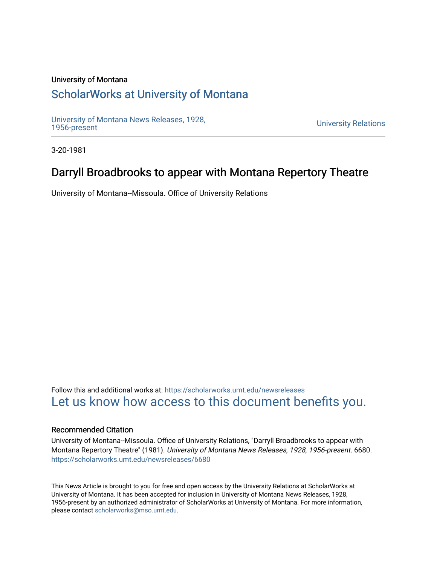#### University of Montana

# [ScholarWorks at University of Montana](https://scholarworks.umt.edu/)

[University of Montana News Releases, 1928,](https://scholarworks.umt.edu/newsreleases) 

**University Relations** 

3-20-1981

# Darryll Broadbrooks to appear with Montana Repertory Theatre

University of Montana--Missoula. Office of University Relations

Follow this and additional works at: [https://scholarworks.umt.edu/newsreleases](https://scholarworks.umt.edu/newsreleases?utm_source=scholarworks.umt.edu%2Fnewsreleases%2F6680&utm_medium=PDF&utm_campaign=PDFCoverPages) [Let us know how access to this document benefits you.](https://goo.gl/forms/s2rGfXOLzz71qgsB2) 

#### Recommended Citation

University of Montana--Missoula. Office of University Relations, "Darryll Broadbrooks to appear with Montana Repertory Theatre" (1981). University of Montana News Releases, 1928, 1956-present. 6680. [https://scholarworks.umt.edu/newsreleases/6680](https://scholarworks.umt.edu/newsreleases/6680?utm_source=scholarworks.umt.edu%2Fnewsreleases%2F6680&utm_medium=PDF&utm_campaign=PDFCoverPages) 

This News Article is brought to you for free and open access by the University Relations at ScholarWorks at University of Montana. It has been accepted for inclusion in University of Montana News Releases, 1928, 1956-present by an authorized administrator of ScholarWorks at University of Montana. For more information, please contact [scholarworks@mso.umt.edu.](mailto:scholarworks@mso.umt.edu)